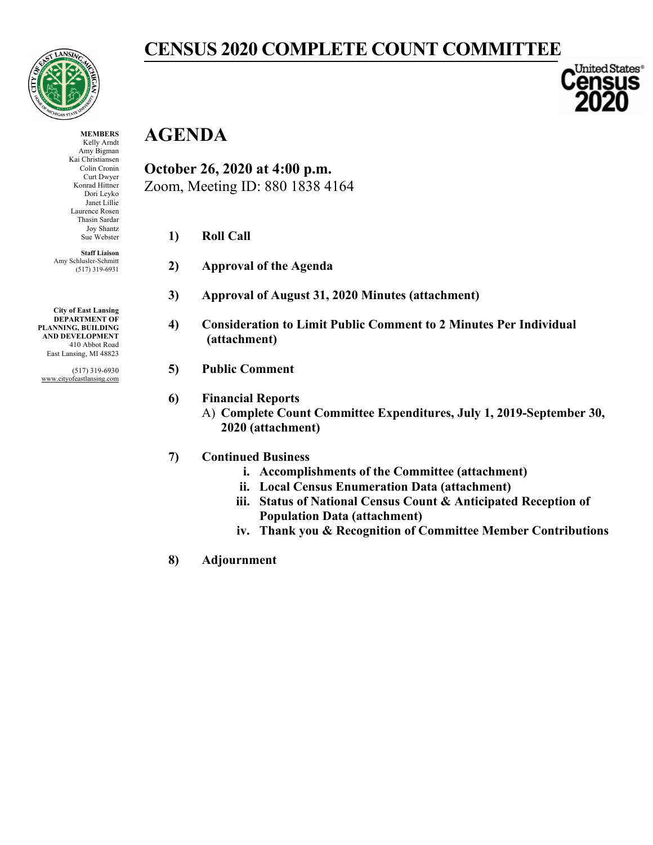

**MEMBERS** Kelly Arndt Amy Bigman Kai Christiansen Colin Cronin Curt Dwyer Konrad Hittner Dori Leyko Janet Lillie Laurence Rosen Thasin Sardar Joy Shantz Sue Webster **Staff Liaison** Amy Schlusler-Schmitt (517) 319-6931 **CENSUS 2020 COMPLETE COUNT COMMITTEE**

United States® **Gnsus** 

## **AGENDA**

**October 26, 2020 at 4:00 p.m.** Zoom, Meeting ID: 880 1838 4164

- **1) Roll Call**
- **2) Approval of the Agenda**
- **3) Approval of August 31, 2020 Minutes (attachment)**
- **4) Consideration to Limit Public Comment to 2 Minutes Per Individual (attachment)**

#### **5) Public Comment**

- **6) Financial Reports**
	- A) **Complete Count Committee Expenditures, July 1, 2019-September 30, 2020 (attachment)**

#### **7) Continued Business**

- **i. Accomplishments of the Committee (attachment)**
- **ii. Local Census Enumeration Data (attachment)**
- **iii. Status of National Census Count & Anticipated Reception of Population Data (attachment)**
- **iv. Thank you & Recognition of Committee Member Contributions**
- **8) Adjournment**

**City of East Lansing DEPARTMENT OF PLANNING, BUILDING AND DEVELOPMENT** 410 Abbot Road East Lansing, MI 48823

(517) 319-6930 www.cityofeastlansing.com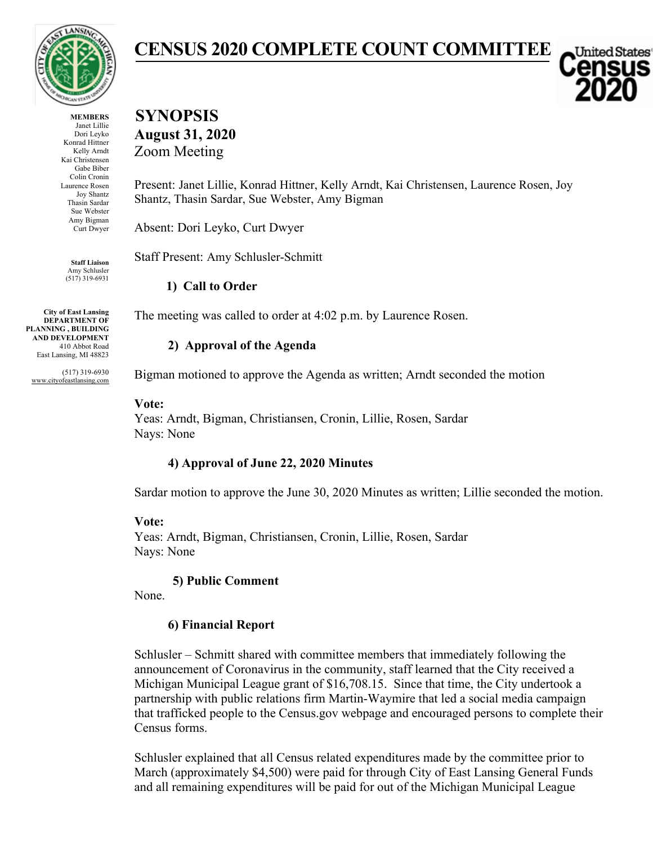

**MEMBERS** Janet Lillie Dori Leyko Konrad Hittner Kelly Arndt Kai Christensen Gabe Biber Colin Cronin Laurence Rosen Joy Shantz Thasin Sardar Sue Webster Amy Bigman Curt Dwyer

**Staff Liaison** Amy Schlusler (517) 319-6931

**City of East Lansing DEPARTMENT OF PLANNING , BUILDING AND DEVELOPMENT** 410 Abbot Road East Lansing, MI 48823

(517) 319-6930 www.cityofeastlansing.com

# **CENSUS 2020 COMPLETE COUNT COMMITTEE**

United States

## **SYNOPSIS August 31, 2020** Zoom Meeting

Present: Janet Lillie, Konrad Hittner, Kelly Arndt, Kai Christensen, Laurence Rosen, Joy Shantz, Thasin Sardar, Sue Webster, Amy Bigman

Absent: Dori Leyko, Curt Dwyer

Staff Present: Amy Schlusler-Schmitt

**1) Call to Order**

The meeting was called to order at 4:02 p.m. by Laurence Rosen.

### **2) Approval of the Agenda**

Bigman motioned to approve the Agenda as written; Arndt seconded the motion

### **Vote:**

Yeas: Arndt, Bigman, Christiansen, Cronin, Lillie, Rosen, Sardar Nays: None

## **4) Approval of June 22, 2020 Minutes**

Sardar motion to approve the June 30, 2020 Minutes as written; Lillie seconded the motion.

### **Vote:**

Yeas: Arndt, Bigman, Christiansen, Cronin, Lillie, Rosen, Sardar Nays: None

## **5) Public Comment**

None.

## **6) Financial Report**

Schlusler – Schmitt shared with committee members that immediately following the announcement of Coronavirus in the community, staff learned that the City received a Michigan Municipal League grant of \$16,708.15. Since that time, the City undertook a partnership with public relations firm Martin-Waymire that led a social media campaign that trafficked people to the Census.gov webpage and encouraged persons to complete their Census forms.

Schlusler explained that all Census related expenditures made by the committee prior to March (approximately \$4,500) were paid for through City of East Lansing General Funds and all remaining expenditures will be paid for out of the Michigan Municipal League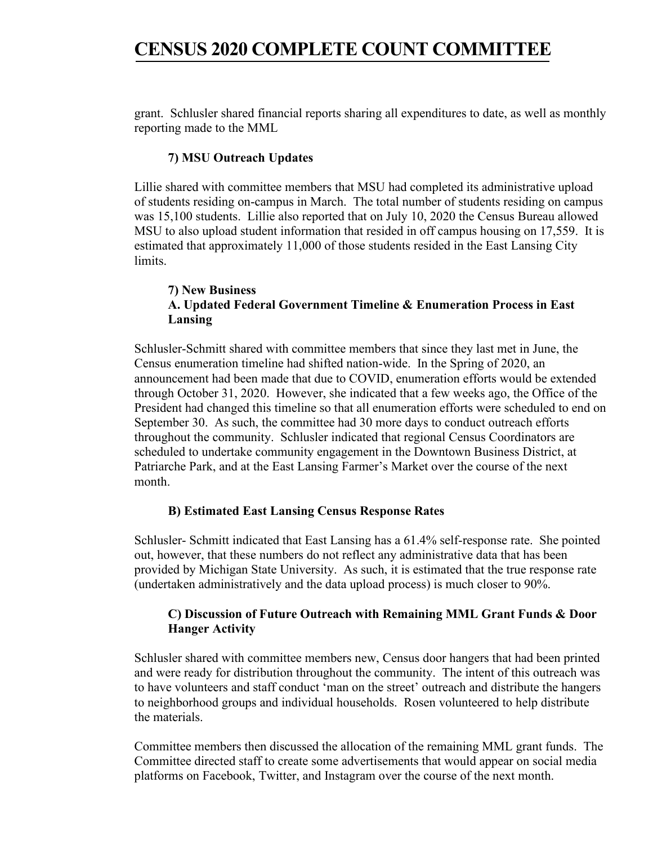# **CENSUS 2020 COMPLETE COUNT COMMITTEE**

grant. Schlusler shared financial reports sharing all expenditures to date, as well as monthly reporting made to the MML

#### **7) MSU Outreach Updates**

Lillie shared with committee members that MSU had completed its administrative upload of students residing on-campus in March. The total number of students residing on campus was 15,100 students. Lillie also reported that on July 10, 2020 the Census Bureau allowed MSU to also upload student information that resided in off campus housing on 17,559. It is estimated that approximately 11,000 of those students resided in the East Lansing City limits.

#### **7) New Business A. Updated Federal Government Timeline & Enumeration Process in East Lansing**

Schlusler-Schmitt shared with committee members that since they last met in June, the Census enumeration timeline had shifted nation-wide. In the Spring of 2020, an announcement had been made that due to COVID, enumeration efforts would be extended through October 31, 2020. However, she indicated that a few weeks ago, the Office of the President had changed this timeline so that all enumeration efforts were scheduled to end on September 30. As such, the committee had 30 more days to conduct outreach efforts throughout the community. Schlusler indicated that regional Census Coordinators are scheduled to undertake community engagement in the Downtown Business District, at Patriarche Park, and at the East Lansing Farmer's Market over the course of the next month.

#### **B) Estimated East Lansing Census Response Rates**

Schlusler- Schmitt indicated that East Lansing has a 61.4% self-response rate. She pointed out, however, that these numbers do not reflect any administrative data that has been provided by Michigan State University. As such, it is estimated that the true response rate (undertaken administratively and the data upload process) is much closer to 90%.

#### **C) Discussion of Future Outreach with Remaining MML Grant Funds & Door Hanger Activity**

Schlusler shared with committee members new, Census door hangers that had been printed and were ready for distribution throughout the community. The intent of this outreach was to have volunteers and staff conduct 'man on the street' outreach and distribute the hangers to neighborhood groups and individual households. Rosen volunteered to help distribute the materials.

Committee members then discussed the allocation of the remaining MML grant funds. The Committee directed staff to create some advertisements that would appear on social media platforms on Facebook, Twitter, and Instagram over the course of the next month.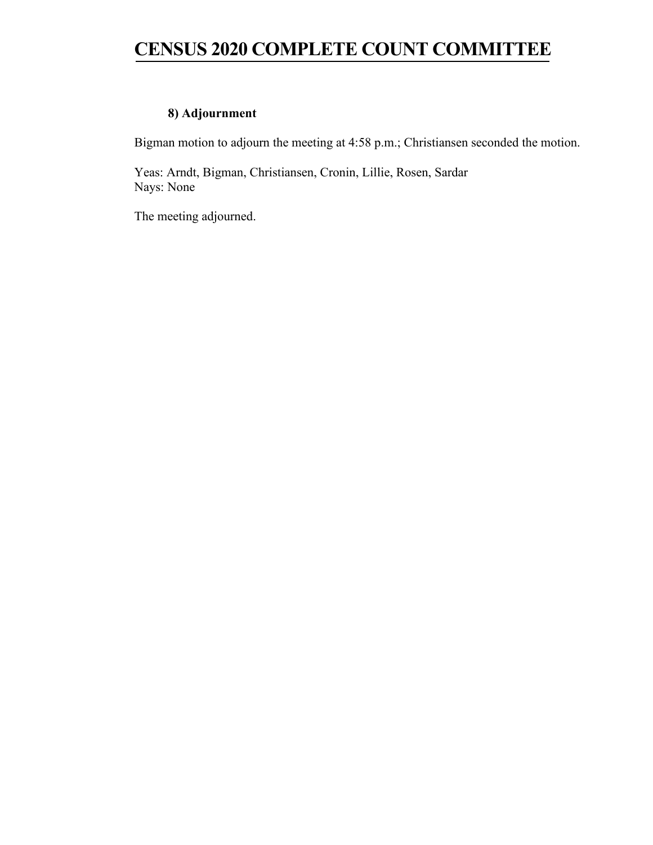# **CENSUS 2020 COMPLETE COUNT COMMITTEE**

### **8) Adjournment**

Bigman motion to adjourn the meeting at 4:58 p.m.; Christiansen seconded the motion.

Yeas: Arndt, Bigman, Christiansen, Cronin, Lillie, Rosen, Sardar Nays: None

The meeting adjourned.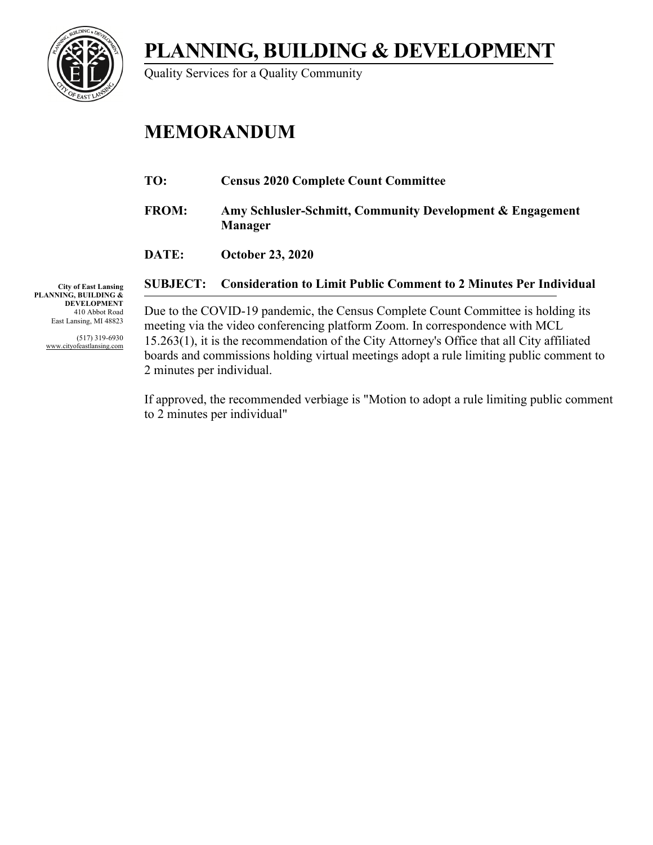**PLANNING, BUILDING & DEVELOPMENT**



Quality Services for a Quality Community

# **MEMORANDUM**

- **TO: Census 2020 Complete Count Committee**
- **FROM: Amy Schlusler-Schmitt, Community Development & Engagement Manager**
- **DATE: October 23, 2020**

### **SUBJECT: Consideration to Limit Public Comment to 2 Minutes Per Individual**

**City of East Lansing PLANNING, BUILDING & DEVELOPMENT** 410 Abbot Road East Lansing, MI 48823

> (517) 319-6930 www.cityofeastlansing.com

Due to the COVID-19 pandemic, the Census Complete Count Committee is holding its meeting via the video conferencing platform Zoom. In correspondence with MCL 15.263(1), it is the recommendation of the City Attorney's Office that all City affiliated boards and commissions holding virtual meetings adopt a rule limiting public comment to 2 minutes per individual.

If approved, the recommended verbiage is "Motion to adopt a rule limiting public comment to 2 minutes per individual"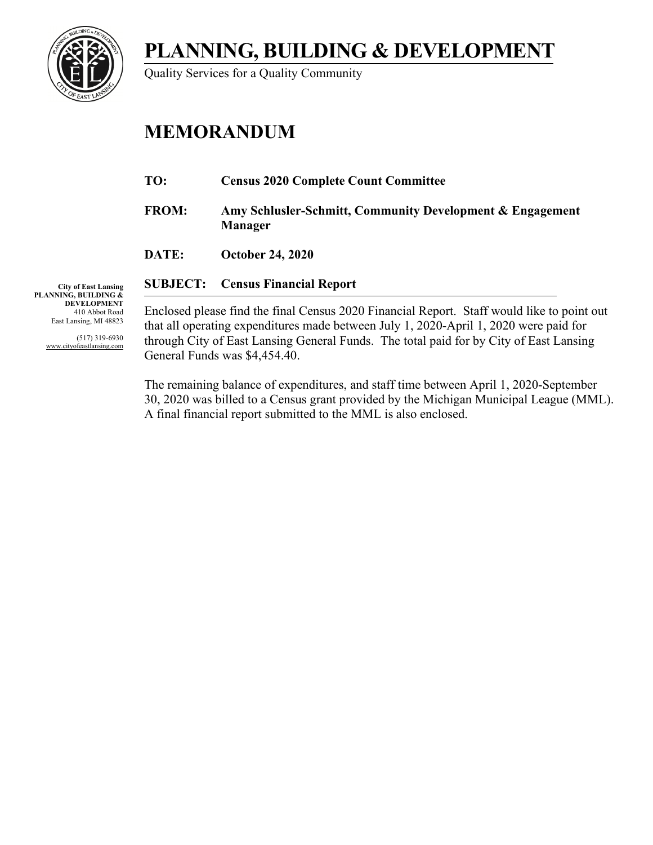**PLANNING, BUILDING & DEVELOPMENT**



Quality Services for a Quality Community

# **MEMORANDUM**

- **TO: Census 2020 Complete Count Committee**
- **FROM: Amy Schlusler-Schmitt, Community Development & Engagement Manager**
- **DATE: October 24, 2020**

**City of East Lansing PLANNING, BUILDING & DEVELOPMENT** 410 Abbot Road East Lansing, MI 48823

> (517) 319-6930 www.cityofeastlansing.com

**SUBJECT: Census Financial Report**

Enclosed please find the final Census 2020 Financial Report. Staff would like to point out that all operating expenditures made between July 1, 2020-April 1, 2020 were paid for through City of East Lansing General Funds. The total paid for by City of East Lansing General Funds was \$4,454.40.

The remaining balance of expenditures, and staff time between April 1, 2020-September 30, 2020 was billed to a Census grant provided by the Michigan Municipal League (MML). A final financial report submitted to the MML is also enclosed.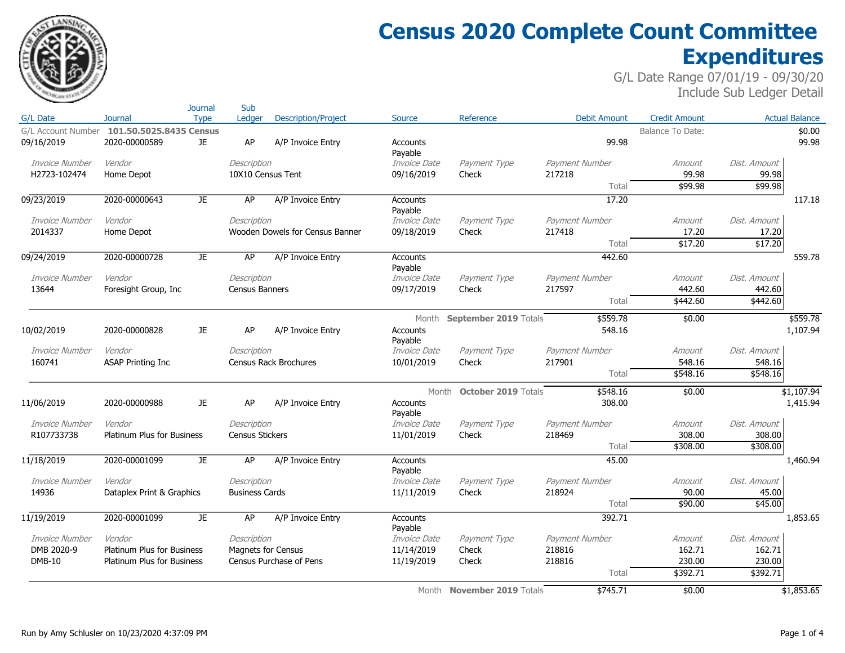

# **Census 2020 Complete Count Committee Expenditures**

|                       |                                   | <b>Journal</b> | Sub                       |                                 |                            |                            |                     |                      |                    |                       |
|-----------------------|-----------------------------------|----------------|---------------------------|---------------------------------|----------------------------|----------------------------|---------------------|----------------------|--------------------|-----------------------|
| G/L Date              | Journal                           | <b>Type</b>    | Ledger                    | <b>Description/Project</b>      | <b>Source</b>              | Reference                  | <b>Debit Amount</b> | <b>Credit Amount</b> |                    | <b>Actual Balance</b> |
| G/L Account Number    | 101.50.5025.8435 Census           |                |                           |                                 |                            |                            |                     | Balance To Date:     |                    | \$0.00                |
| 09/16/2019            | 2020-00000589                     | JE.            | AP                        | A/P Invoice Entry               | <b>Accounts</b>            |                            | 99.98               |                      |                    | 99.98                 |
|                       |                                   |                |                           |                                 | Payable                    |                            |                     |                      |                    |                       |
| Invoice Number        | Vendor                            |                | Description               |                                 | <i>Invoice Date</i>        | Payment Type               | Payment Number      | Amount               | Dist, Amount       |                       |
| H2723-102474          | Home Depot                        |                | 10X10 Census Tent         |                                 | 09/16/2019                 | Check                      | 217218<br>Total     | 99.98<br>\$99.98     | 99.98<br>\$99.98   |                       |
|                       |                                   |                |                           |                                 |                            |                            |                     |                      |                    |                       |
| 09/23/2019            | 2020-00000643                     | JE.            | AP                        | A/P Invoice Entry               | <b>Accounts</b><br>Payable |                            | 17.20               |                      |                    | 117.18                |
| Invoice Number        | Vendor                            |                | Description               |                                 | Invoice Date               | Payment Type               | Payment Number      | Amount               | Dist, Amount       |                       |
| 2014337               | Home Depot                        |                |                           | Wooden Dowels for Census Banner | 09/18/2019                 | Check                      | 217418              | 17.20                | 17.20              |                       |
|                       |                                   |                |                           |                                 |                            |                            | Total               | \$17.20              | \$17.20            |                       |
| 09/24/2019            | 2020-00000728                     | JE.            | AP                        | A/P Invoice Entry               | <b>Accounts</b>            |                            | 442.60              |                      |                    | 559.78                |
|                       |                                   |                |                           |                                 | Payable                    |                            |                     |                      |                    |                       |
| <b>Invoice Number</b> | Vendor                            |                | Description               |                                 | Invoice Date               | Payment Type               | Payment Number      | Amount               | Dist. Amount       |                       |
| 13644                 | Foresight Group, Inc.             |                | <b>Census Banners</b>     |                                 | 09/17/2019                 | Check                      | 217597              | 442.60               | 442.60             |                       |
|                       |                                   |                |                           |                                 |                            |                            | Total               | \$442.60             | \$442.60           |                       |
|                       |                                   |                |                           |                                 | Month                      | September 2019 Totals      | \$559.78            | \$0.00               |                    | \$559.78              |
| 10/02/2019            | 2020-00000828                     | JE.            | AP                        | A/P Invoice Entry               | Accounts                   |                            | 548.16              |                      |                    | 1,107.94              |
|                       |                                   |                |                           |                                 | Payable                    |                            |                     |                      |                    |                       |
| Invoice Number        | Vendor                            |                | Description               |                                 | Invoice Date               | Payment Type               | Payment Number      | Amount               | Dist. Amount       |                       |
| 160741                | <b>ASAP Printing Inc</b>          |                |                           | Census Rack Brochures           | 10/01/2019                 | Check                      | 217901              | 548.16               | 548.16             |                       |
|                       |                                   |                |                           |                                 |                            |                            | Total               | \$548.16             | \$548.16           |                       |
|                       |                                   |                |                           |                                 | Month                      | <b>October 2019 Totals</b> | \$548.16            | \$0.00               |                    | \$1,107.94            |
| 11/06/2019            | 2020-00000988                     | JE.            | AP                        | A/P Invoice Entry               | Accounts                   |                            | 308.00              |                      |                    | 1,415.94              |
| Invoice Number        | Vendor                            |                | Description               |                                 | Pavable<br>Invoice Date    | Payment Type               | Payment Number      | Amount               | Dist. Amount       |                       |
| R107733738            | <b>Platinum Plus for Business</b> |                | <b>Census Stickers</b>    |                                 | 11/01/2019                 | Check                      | 218469              | 308.00               | 308.00             |                       |
|                       |                                   |                |                           |                                 |                            |                            | Total               | \$308.00             | \$308.00           |                       |
| 11/18/2019            | 2020-00001099                     | JE.            | AP                        | A/P Invoice Entry               | <b>Accounts</b>            |                            | 45.00               |                      |                    | 1,460.94              |
|                       |                                   |                |                           |                                 | Payable                    |                            |                     |                      |                    |                       |
| Invoice Number        | Vendor                            |                | Description               |                                 | Invoice Date               | Payment Type               | Payment Number      | Amount               | Dist, Amount       |                       |
| 14936                 | Dataplex Print & Graphics         |                | <b>Business Cards</b>     |                                 | 11/11/2019                 | Check                      | 218924              | 90.00                | 45.00              |                       |
|                       |                                   |                |                           |                                 |                            |                            | Total               | \$90.00              | \$45.00            |                       |
| 11/19/2019            | 2020-00001099                     | JE.            | AP                        | A/P Invoice Entry               | Accounts                   |                            | 392.71              |                      |                    | 1,853.65              |
|                       |                                   |                |                           |                                 | Payable                    |                            |                     |                      |                    |                       |
| <b>Invoice Number</b> | Vendor                            |                | Description               |                                 | Invoice Date               | Payment Type               | Payment Number      | Amount               | Dist. Amount       |                       |
| DMB 2020-9            | <b>Platinum Plus for Business</b> |                | <b>Magnets for Census</b> |                                 | 11/14/2019                 | Check                      | 218816              | 162.71               | 162.71             |                       |
| <b>DMB-10</b>         | <b>Platinum Plus for Business</b> |                |                           | Census Purchase of Pens         | 11/19/2019                 | Check                      | 218816              | 230.00               | 230.00<br>\$392.71 |                       |
|                       |                                   |                |                           |                                 |                            |                            | Total               | \$392.71             |                    |                       |
|                       |                                   |                |                           |                                 |                            | Month November 2019 Totals | \$745.71            | \$0.00               |                    | \$1,853.65            |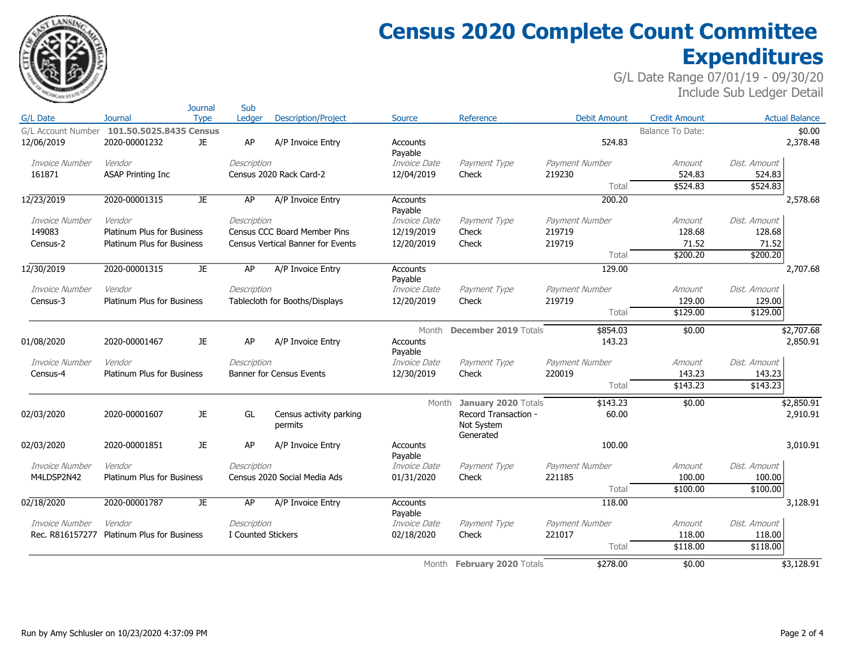

Sub

# **Census 2020 Complete Count Committee Expenditures**

|                    |                                   | Journal     | Sub                |                                          |                            |                                                 |                     |                      |              |                       |
|--------------------|-----------------------------------|-------------|--------------------|------------------------------------------|----------------------------|-------------------------------------------------|---------------------|----------------------|--------------|-----------------------|
| G/L Date           | Journal                           | <b>Type</b> | Ledaer             | <b>Description/Project</b>               | <b>Source</b>              | Reference                                       | <b>Debit Amount</b> | <b>Credit Amount</b> |              | <b>Actual Balance</b> |
| G/L Account Number | 101.50.5025.8435 Census           |             |                    |                                          |                            |                                                 |                     | Balance To Date:     |              | \$0.00                |
| 12/06/2019         | 2020-00001232                     | JE          | AP                 | A/P Invoice Entry                        | <b>Accounts</b><br>Payable |                                                 | 524.83              |                      |              | 2,378.48              |
| Invoice Number     | Vendor                            |             | Description        |                                          | Invoice Date               | Payment Type                                    | Payment Number      | Amount               | Dist. Amount |                       |
| 161871             | <b>ASAP Printing Inc</b>          |             |                    | Census 2020 Rack Card-2                  | 12/04/2019                 | Check                                           | 219230              | 524.83               | 524.83       |                       |
|                    |                                   |             |                    |                                          |                            |                                                 | Total               | \$524.83             | \$524.83     |                       |
| 12/23/2019         | 2020-00001315                     | JE          | AP                 | A/P Invoice Entry                        | Accounts<br>Payable        |                                                 | 200.20              |                      |              | 2,578.68              |
| Invoice Number     | Vendor                            |             | Description        |                                          | Invoice Date               | Payment Type                                    | Payment Number      | Amount               | Dist, Amount |                       |
| 149083             | <b>Platinum Plus for Business</b> |             |                    | Census CCC Board Member Pins             | 12/19/2019                 | Check                                           | 219719              | 128.68               | 128.68       |                       |
| Census-2           | <b>Platinum Plus for Business</b> |             |                    | <b>Census Vertical Banner for Events</b> | 12/20/2019                 | Check                                           | 219719              | 71.52                | 71.52        |                       |
|                    |                                   |             |                    |                                          |                            |                                                 | Total               | \$200.20             | \$200.20     |                       |
| 12/30/2019         | 2020-00001315                     | JE          | AP                 | A/P Invoice Entry                        | Accounts<br>Payable        |                                                 | 129.00              |                      |              | 2,707.68              |
| Invoice Number     | Vendor                            |             | Description        |                                          | Invoice Date               | Payment Type                                    | Payment Number      | Amount               | Dist. Amount |                       |
| Census-3           | <b>Platinum Plus for Business</b> |             |                    | Tablecloth for Booths/Displays           | 12/20/2019                 | Check                                           | 219719              | 129.00               | 129.00       |                       |
|                    |                                   |             |                    |                                          |                            |                                                 | Total               | \$129.00             | \$129.00     |                       |
|                    |                                   |             |                    |                                          | Month                      | <b>December 2019 Totals</b>                     | \$854.03            | \$0.00               |              | \$2,707.68            |
| 01/08/2020         | 2020-00001467                     | JE.         | AP                 | A/P Invoice Entry                        | <b>Accounts</b><br>Payable |                                                 | 143.23              |                      |              | 2,850.91              |
| Invoice Number     | Vendor                            |             | Description        |                                          | <i>Invoice Date</i>        | Payment Type                                    | Payment Number      | Amount               | Dist, Amount |                       |
| Census-4           | <b>Platinum Plus for Business</b> |             |                    | <b>Banner for Census Events</b>          | 12/30/2019                 | Check                                           | 220019              | 143.23               | 143.23       |                       |
|                    |                                   |             |                    |                                          |                            |                                                 | Total               | \$143.23             | \$143.23     |                       |
|                    |                                   |             |                    |                                          | Month                      | January 2020 Totals                             | \$143.23            | \$0.00               |              | \$2,850.91            |
| 02/03/2020         | 2020-00001607                     | JE.         | GL                 | Census activity parking<br>permits       |                            | Record Transaction -<br>Not System<br>Generated | 60.00               |                      |              | 2,910.91              |
| 02/03/2020         | 2020-00001851                     | JE.         | AP                 | A/P Invoice Entry                        | <b>Accounts</b><br>Payable |                                                 | 100.00              |                      |              | 3,010.91              |
| Invoice Number     | Vendor                            |             | Description        |                                          | Invoice Date               | Payment Type                                    | Payment Number      | Amount               | Dist, Amount |                       |
| M4LDSP2N42         | <b>Platinum Plus for Business</b> |             |                    | Census 2020 Social Media Ads             | 01/31/2020                 | Check                                           | 221185              | 100.00               | 100.00       |                       |
|                    |                                   |             |                    |                                          |                            |                                                 | Total               | \$100.00             | \$100.00     |                       |
| 02/18/2020         | 2020-00001787                     | JE.         | AP                 | A/P Invoice Entry                        | <b>Accounts</b><br>Payable |                                                 | 118.00              |                      |              | 3,128.91              |
| Invoice Number     | Vendor                            |             | Description        |                                          | Invoice Date               | Payment Type                                    | Payment Number      | Amount               | Dist. Amount |                       |
| Rec. R816157277    | <b>Platinum Plus for Business</b> |             | I Counted Stickers |                                          | 02/18/2020                 | Check                                           | 221017              | 118.00               | 118.00       |                       |
|                    |                                   |             |                    |                                          |                            |                                                 | Total               | \$118.00             | \$118.00     |                       |
|                    |                                   |             |                    |                                          |                            | Month February 2020 Totals                      | \$278.00            | \$0.00               |              | \$3,128.91            |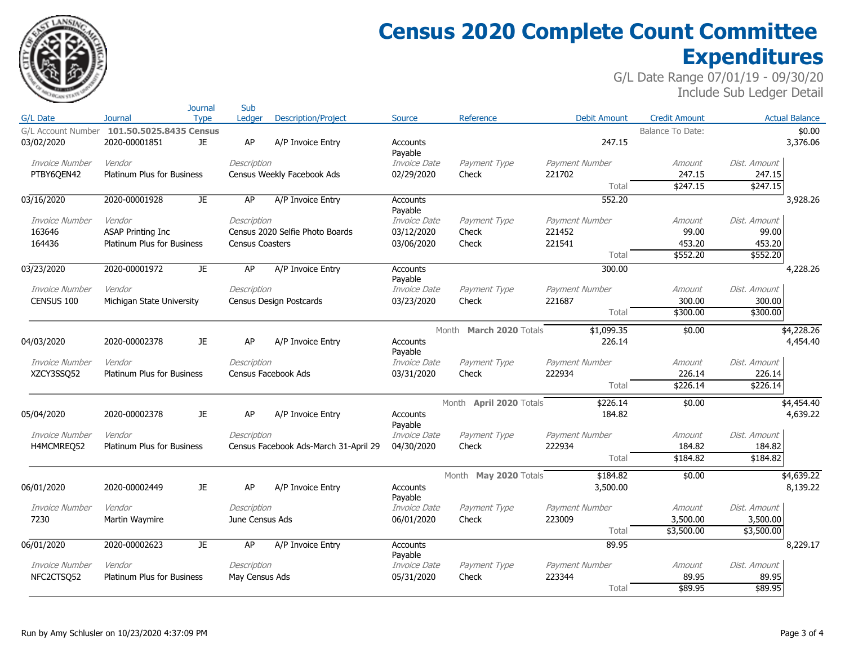

# **Census 2020 Complete Count Committee Expenditures**

|                | Journal                                    | Sub             |                                       |                            |                         |                     |                         |              |                       |
|----------------|--------------------------------------------|-----------------|---------------------------------------|----------------------------|-------------------------|---------------------|-------------------------|--------------|-----------------------|
| G/L Date       | <b>Type</b><br><b>Journal</b>              | Ledaer          | <b>Description/Project</b>            | <b>Source</b>              | Reference               | <b>Debit Amount</b> | <b>Credit Amount</b>    |              | <b>Actual Balance</b> |
|                | G/L Account Number 101.50.5025.8435 Census |                 |                                       |                            |                         |                     | <b>Balance To Date:</b> |              | \$0.00                |
| 03/02/2020     | 2020-00001851<br>JE                        | AP              | A/P Invoice Entry                     | Accounts<br>Payable        |                         | 247.15              |                         |              | 3,376.06              |
| Invoice Number | Vendor                                     | Description     |                                       | Invoice Date               | Payment Type            | Payment Number      | Amount                  | Dist. Amount |                       |
| PTBY6QEN42     | <b>Platinum Plus for Business</b>          |                 | Census Weekly Facebook Ads            | 02/29/2020                 | Check                   | 221702              | 247.15                  | 247.15       |                       |
|                |                                            |                 |                                       |                            |                         | Total               | \$247.15                | \$247.15     |                       |
| 03/16/2020     | 2020-00001928<br><b>JE</b>                 | AP              | A/P Invoice Entry                     | <b>Accounts</b><br>Payable |                         | 552.20              |                         |              | 3,928.26              |
| Invoice Number | Vendor                                     | Description     |                                       | Invoice Date               | Payment Type            | Payment Number      | Amount                  | Dist, Amount |                       |
| 163646         | <b>ASAP Printing Inc</b>                   |                 | Census 2020 Selfie Photo Boards       | 03/12/2020                 | Check                   | 221452              | 99.00                   | 99.00        |                       |
| 164436         | Platinum Plus for Business                 | Census Coasters |                                       | 03/06/2020                 | Check                   | 221541              | 453.20                  | 453.20       |                       |
|                |                                            |                 |                                       |                            |                         | Total               | \$552.20                | \$552.20     |                       |
| 03/23/2020     | 2020-00001972<br>JE.                       | AP              | A/P Invoice Entry                     | Accounts<br>Payable        |                         | 300.00              |                         |              | 4,228.26              |
| Invoice Number | Vendor                                     | Description     |                                       | Invoice Date               | Payment Type            | Payment Number      | Amount                  | Dist. Amount |                       |
| CENSUS 100     | Michigan State University                  |                 | Census Design Postcards               | 03/23/2020                 | Check                   | 221687              | 300.00                  | 300.00       |                       |
|                |                                            |                 |                                       |                            |                         | Total               | \$300.00                | \$300.00     |                       |
|                |                                            |                 |                                       |                            | Month March 2020 Totals | \$1,099.35          | \$0.00                  |              | \$4,228.26            |
| 04/03/2020     | 2020-00002378<br>JE.                       | AP              | A/P Invoice Entry                     | <b>Accounts</b><br>Payable |                         | 226.14              |                         |              | 4,454.40              |
| Invoice Number | Vendor                                     | Description     |                                       | <i>Invoice Date</i>        | Payment Type            | Payment Number      | Amount                  | Dist. Amount |                       |
| XZCY3SSO52     | Platinum Plus for Business                 |                 | Census Facebook Ads                   | 03/31/2020                 | Check                   | 222934              | 226.14                  | 226.14       |                       |
|                |                                            |                 |                                       |                            |                         | Total               | \$226.14                | \$226.14     |                       |
|                |                                            |                 |                                       |                            | Month April 2020 Totals | \$226.14            | \$0.00                  |              | \$4,454.40            |
| 05/04/2020     | 2020-00002378<br>JE.                       | AP              | A/P Invoice Entry                     | <b>Accounts</b><br>Payable |                         | 184.82              |                         |              | 4,639.22              |
| Invoice Number | Vendor                                     | Description     |                                       | Invoice Date               | Payment Type            | Payment Number      | Amount                  | Dist. Amount |                       |
| H4MCMREQ52     | <b>Platinum Plus for Business</b>          |                 | Census Facebook Ads-March 31-April 29 | 04/30/2020                 | Check                   | 222934              | 184.82                  | 184.82       |                       |
|                |                                            |                 |                                       |                            |                         | Total               | \$184.82                | \$184.82     |                       |
|                |                                            |                 |                                       |                            | Month May 2020 Totals   | \$184.82            | \$0.00                  |              | \$4,639.22            |
| 06/01/2020     | JE<br>2020-00002449                        | AP              | A/P Invoice Entry                     | <b>Accounts</b><br>Payable |                         | 3,500.00            |                         |              | 8,139.22              |
| Invoice Number | Vendor                                     | Description     |                                       | Invoice Date               | Payment Type            | Payment Number      | Amount                  | Dist. Amount |                       |
| 7230           | Martin Waymire                             | June Census Ads |                                       | 06/01/2020                 | Check                   | 223009              | 3,500.00                | 3,500.00     |                       |
|                |                                            |                 |                                       |                            |                         | Total               | \$3,500.00              | \$3,500.00   |                       |
| 06/01/2020     | 2020-00002623<br>JE.                       | AP              | A/P Invoice Entry                     | Accounts<br>Payable        |                         | 89.95               |                         |              | 8,229.17              |
| Invoice Number | Vendor                                     | Description     |                                       | Invoice Date               | Payment Type            | Payment Number      | Amount                  | Dist. Amount |                       |
| NFC2CTSQ52     | Platinum Plus for Business                 | May Census Ads  |                                       | 05/31/2020                 | Check                   | 223344              | 89.95                   | 89.95        |                       |
|                |                                            |                 |                                       |                            |                         | Total               | \$89.95                 | \$89.95      |                       |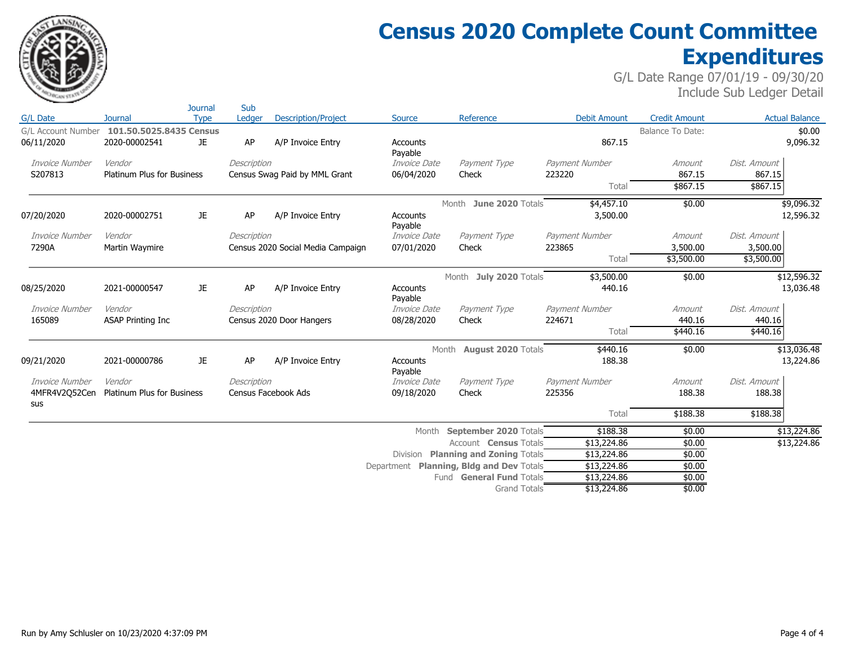

# **Census 2020 Complete Count Committee Expenditures**

|                                  |                                          | Journal     | Sub         |                                   |                            |                                          |                     |                      |                       |
|----------------------------------|------------------------------------------|-------------|-------------|-----------------------------------|----------------------------|------------------------------------------|---------------------|----------------------|-----------------------|
| G/L Date                         | <b>Journal</b>                           | <b>Type</b> | Ledger      | <b>Description/Project</b>        | Source                     | Reference                                | <b>Debit Amount</b> | <b>Credit Amount</b> | <b>Actual Balance</b> |
| G/L Account Number<br>06/11/2020 | 101.50.5025.8435 Census<br>2020-00002541 | JE          | AP          | A/P Invoice Entry                 | <b>Accounts</b><br>Payable |                                          | 867.15              | Balance To Date:     | \$0.00<br>9,096.32    |
| Invoice Number                   | Vendor                                   |             | Description |                                   | Invoice Date               | Payment Type                             | Payment Number      | Amount               | Dist, Amount          |
| S207813                          | Platinum Plus for Business               |             |             | Census Swag Paid by MML Grant     | 06/04/2020                 | Check                                    | 223220              | 867.15               | 867.15                |
|                                  |                                          |             |             |                                   |                            |                                          | Total               | \$867.15             | \$867.15              |
|                                  |                                          |             |             |                                   |                            | Month June 2020 Totals                   | \$4,457.10          | \$0.00               | \$9,096.32            |
| 07/20/2020                       | 2020-00002751                            | JE.         | AP          | A/P Invoice Entry                 | <b>Accounts</b><br>Payable |                                          | 3,500.00            |                      | 12,596.32             |
| Invoice Number                   | Vendor                                   |             | Description |                                   | Invoice Date               | Payment Type                             | Payment Number      | Amount               | Dist. Amount          |
| 7290A                            | Martin Waymire                           |             |             | Census 2020 Social Media Campaign | 07/01/2020                 | Check                                    | 223865              | 3,500.00             | 3,500.00              |
|                                  |                                          |             |             |                                   |                            |                                          | Total               | \$3,500.00           | \$3,500.00            |
|                                  |                                          |             |             |                                   |                            | Month July 2020 Totals                   | \$3,500.00          | \$0.00               | \$12,596.32           |
| 08/25/2020                       | 2021-00000547                            | JE.         | AP          | A/P Invoice Entry                 | <b>Accounts</b><br>Payable |                                          | 440.16              |                      | 13,036.48             |
| Invoice Number                   | Vendor                                   |             | Description |                                   | Invoice Date               | Payment Type                             | Payment Number      | Amount               | Dist, Amount          |
| 165089                           | <b>ASAP Printing Inc</b>                 |             |             | Census 2020 Door Hangers          | 08/28/2020                 | Check                                    | 224671              | 440.16               | 440.16                |
|                                  |                                          |             |             |                                   |                            |                                          | Total               | \$440.16             | \$440.16              |
|                                  |                                          |             |             |                                   |                            | Month <b>August 2020</b> Totals          | \$440.16            | \$0.00               | \$13,036.48           |
| 09/21/2020                       | 2021-00000786                            | JE.         | AP          | A/P Invoice Entry                 | <b>Accounts</b><br>Payable |                                          | 188.38              |                      | 13,224.86             |
| Invoice Number                   | Vendor                                   |             | Description |                                   | Invoice Date               | Payment Type                             | Payment Number      | Amount               | Dist, Amount          |
| 4MFR4V2Q52Cen<br>sus             | Platinum Plus for Business               |             |             | Census Facebook Ads               | 09/18/2020                 | Check                                    | 225356              | 188.38               | 188.38                |
|                                  |                                          |             |             |                                   |                            |                                          | Total               | \$188.38             | \$188.38              |
|                                  |                                          |             |             |                                   | Month                      | September 2020 Totals                    | \$188.38            | \$0.00               | \$13,224.86           |
|                                  |                                          |             |             |                                   |                            | Account <b>Census</b> Totals             | \$13,224.86         | \$0.00               | \$13,224.86           |
|                                  |                                          |             |             |                                   |                            | Division Planning and Zoning Totals      | \$13,224.86         | \$0.00               |                       |
|                                  |                                          |             |             |                                   |                            | Department Planning, Bldg and Dev Totals | \$13,224.86         | \$0.00               |                       |
|                                  |                                          |             |             |                                   |                            | Fund General Fund Totals                 | \$13,224.86         | \$0.00               |                       |
|                                  |                                          |             |             |                                   |                            | <b>Grand Totals</b>                      | \$13,224.86         | \$0.00               |                       |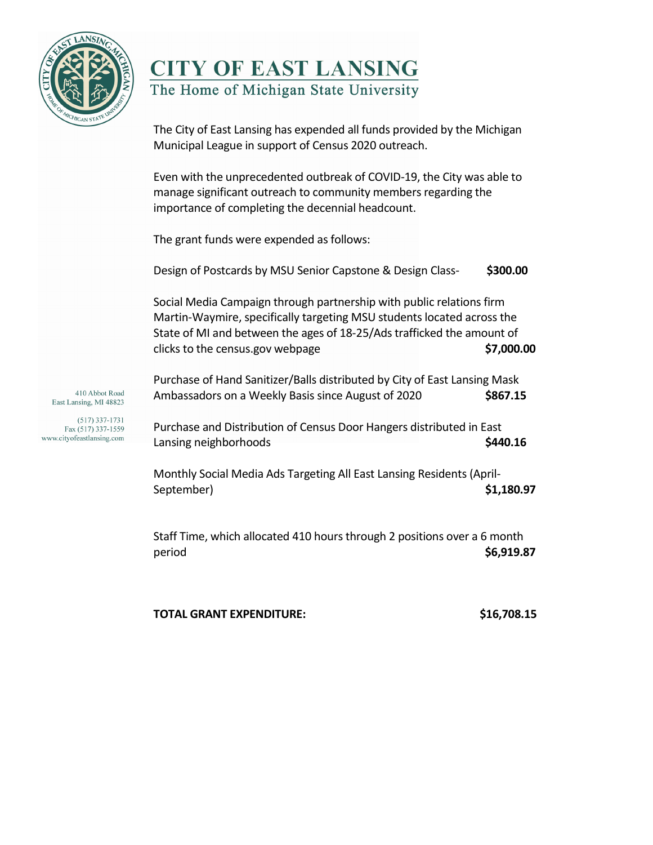

## **CITY OF EAST LANSING** The Home of Michigan State University

The City of East Lansing has expended all funds provided by the Michigan Municipal League in support of Census 2020 outreach.

Even with the unprecedented outbreak of COVID-19, the City was able to manage significant outreach to community members regarding the importance of completing the decennial headcount.

The grant funds were expended as follows:

| Design of Postcards by MSU Senior Capstone & Design Class-                                                                                                                                                                                                   | \$300.00   |
|--------------------------------------------------------------------------------------------------------------------------------------------------------------------------------------------------------------------------------------------------------------|------------|
| Social Media Campaign through partnership with public relations firm<br>Martin-Waymire, specifically targeting MSU students located across the<br>State of MI and between the ages of 18-25/Ads trafficked the amount of<br>clicks to the census.gov webpage | \$7,000.00 |
|                                                                                                                                                                                                                                                              |            |

Purchase of Hand Sanitizer/Balls distributed by City of East Lansing Mask Ambassadors on a Weekly Basis since August of 2020 **\$867.15**

Purchase and Distribution of Census Door Hangers distributed in East Lansing neighborhoods **\$440.16** 

Monthly Social Media Ads Targeting All East Lansing Residents (April-September) **\$1,180.97**

Staff Time, which allocated 410 hours through 2 positions over a 6 month period **\$6,919.87**

**TOTAL GRANT EXPENDITURE: \$16,708.15**

410 Abbot Road East Lansing, MI 48823

 $(517)$  337-1731 Fax (517) 337-1559 www.cityofeastlansing.com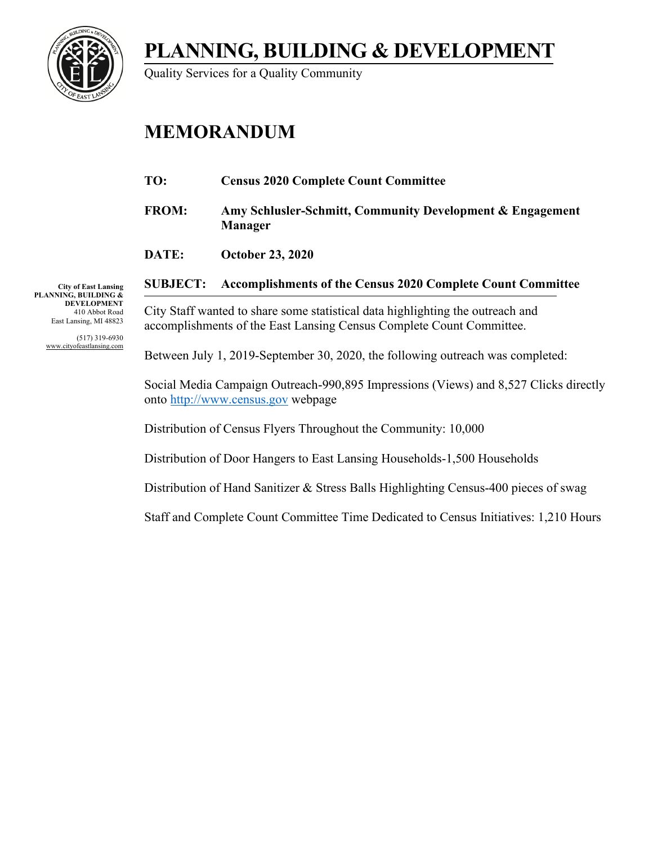**PLANNING, BUILDING & DEVELOPMENT**



Quality Services for a Quality Community

# **MEMORANDUM**

| <b>Census 2020 Complete Count Committee</b> |
|---------------------------------------------|
|---------------------------------------------|

**FROM: Amy Schlusler-Schmitt, Community Development & Engagement Manager**

**DATE: October 23, 2020**

**City of East Lansing PLANNING, BUILDING & DEVELOPMENT** 410 Abbot Road East Lansing, MI 48823

> (517) 319-6930 www.cityofeastlansing.com

**SUBJECT: Accomplishments of the Census 2020 Complete Count Committee**

City Staff wanted to share some statistical data highlighting the outreach and accomplishments of the East Lansing Census Complete Count Committee.

Between July 1, 2019-September 30, 2020, the following outreach was completed:

Social Media Campaign Outreach-990,895 Impressions (Views) and 8,527 Clicks directly onto [http://www.census.gov](http://www.census.gov/) webpage

Distribution of Census Flyers Throughout the Community: 10,000

Distribution of Door Hangers to East Lansing Households-1,500 Households

Distribution of Hand Sanitizer & Stress Balls Highlighting Census-400 pieces of swag

Staff and Complete Count Committee Time Dedicated to Census Initiatives: 1,210 Hours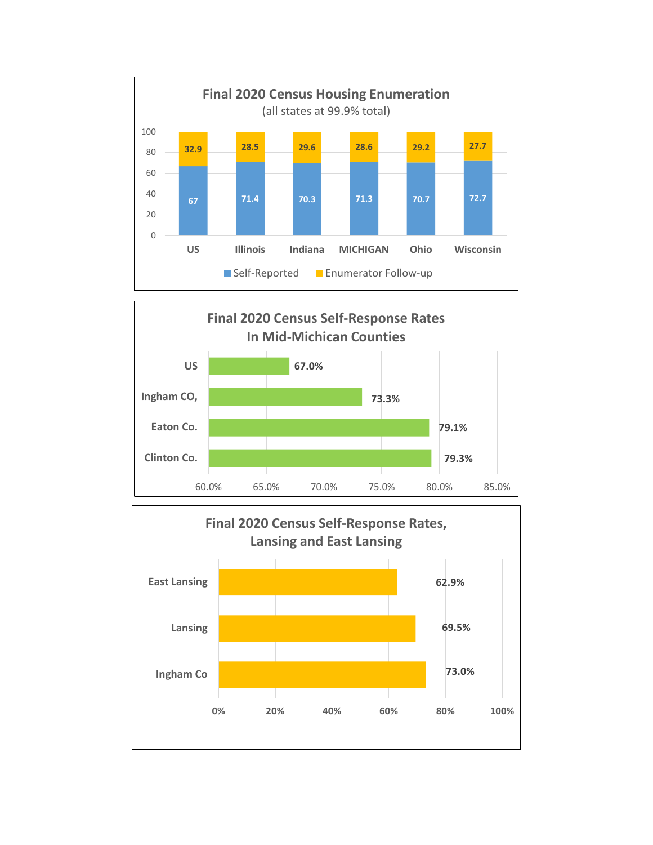



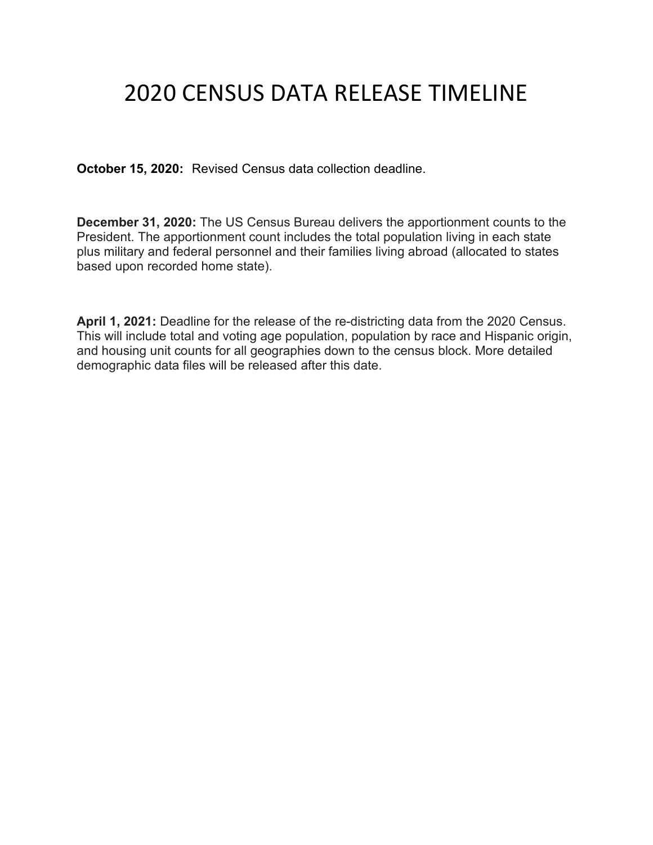# 2020 CENSUS DATA RELEASE TIMELINE

**October 15, 2020:** Revised Census data collection deadline.

**December 31, 2020:** The US Census Bureau delivers the apportionment counts to the President. The apportionment count includes the total population living in each state plus military and federal personnel and their families living abroad (allocated to states based upon recorded home state).

**April 1, 2021:** Deadline for the release of the re-districting data from the 2020 Census. This will include total and voting age population, population by race and Hispanic origin, and housing unit counts for all geographies down to the census block. More detailed demographic data files will be released after this date.